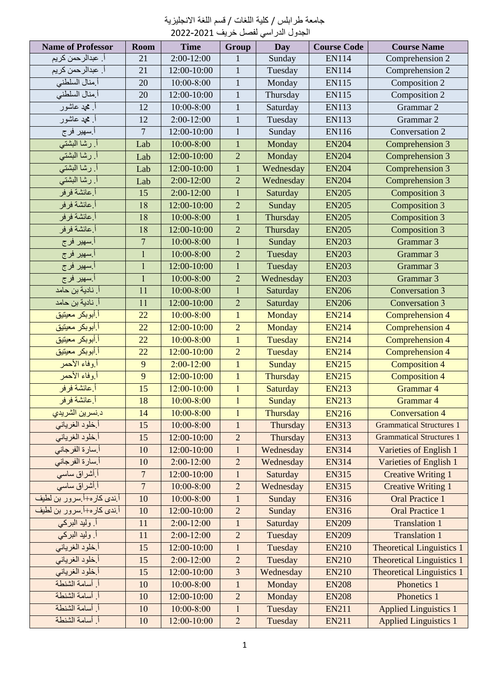| جامعة طرابلس / كلية اللغات / قسم اللغة الانجليزية |  |  |  |  |
|---------------------------------------------------|--|--|--|--|
|                                                   |  |  |  |  |

| الجدول الدراسي لفصل خريف 2021-2022 |                  |                |                |            |                    |                                  |  |
|------------------------------------|------------------|----------------|----------------|------------|--------------------|----------------------------------|--|
| <b>Name of Professor</b>           | Room             | <b>Time</b>    | Group          | <b>Day</b> | <b>Course Code</b> | <b>Course Name</b>               |  |
| أ. عبدالرحمن كريم                  | 21               | $2:00-12:00$   | 1              | Sunday     | <b>EN114</b>       | Comprehension 2                  |  |
| أ. عبدالر حمن كريم                 | 21               | 12:00-10:00    | $\mathbf{1}$   | Tuesday    | <b>EN114</b>       | Comprehension 2                  |  |
| أ منال السلطني                     | 20               | $10:00 - 8:00$ | $\mathbf{1}$   | Monday     | <b>EN115</b>       | Composition 2                    |  |
| أ منال السلطني                     | 20               | 12:00-10:00    | $\mathbf{1}$   | Thursday   | <b>EN115</b>       | Composition 2                    |  |
| أ. محمد عاشور                      | 12               | $10:00 - 8:00$ | $\mathbf{1}$   | Saturday   | <b>EN113</b>       | Grammar 2                        |  |
| أ محمد عاشور                       | 12               | $2:00-12:00$   | $\mathbf{1}$   | Tuesday    | <b>EN113</b>       | Grammar 2                        |  |
| أ سهير فرج                         | $\overline{7}$   | 12:00-10:00    | $\mathbf{1}$   | Sunday     | <b>EN116</b>       | Conversation 2                   |  |
| أ. رشا البشتى                      | Lab              | $10:00 - 8:00$ | $\mathbf{1}$   | Monday     | <b>EN204</b>       | Comprehension 3                  |  |
| أ رشا البشتى                       | Lab              | 12:00-10:00    | $\overline{2}$ | Monday     | <b>EN204</b>       | Comprehension 3                  |  |
| أ رشا البشتي                       | Lab              | 12:00-10:00    | $\mathbf{1}$   | Wednesday  | <b>EN204</b>       | Comprehension 3                  |  |
| أ رشا البشتي                       | Lab              | 2:00-12:00     | $\overline{2}$ | Wednesday  | <b>EN204</b>       | Comprehension 3                  |  |
| أ عائشة فر فر                      | 15               | 2:00-12:00     | $\mathbf{1}$   | Saturday   | <b>EN205</b>       | Composition 3                    |  |
| أ عائشة فرفر                       | 18               | 12:00-10:00    | $\overline{2}$ | Sunday     | <b>EN205</b>       | Composition 3                    |  |
| أ عائشة فر فر                      | 18               | $10:00 - 8:00$ | $\mathbf{1}$   | Thursday   | <b>EN205</b>       | Composition 3                    |  |
| أ عائشة فرفر                       | 18               | 12:00-10:00    | $\overline{2}$ | Thursday   | <b>EN205</b>       | Composition 3                    |  |
| أ سهير فرج                         | $\overline{7}$   | $10:00 - 8:00$ | $\mathbf{1}$   | Sunday     | <b>EN203</b>       | Grammar 3                        |  |
| أ سهير فرج                         | $\mathbf{1}$     | 10:00-8:00     | $\overline{2}$ | Tuesday    | <b>EN203</b>       | Grammar 3                        |  |
| أ سهير فرج                         | $\mathbf 1$      | 12:00-10:00    | $\mathbf{1}$   | Tuesday    | <b>EN203</b>       | Grammar 3                        |  |
| أ سهير فر ج                        | $\mathbf{1}$     | $10:00 - 8:00$ | $\overline{2}$ | Wednesday  | <b>EN203</b>       | Grammar 3                        |  |
| أ. نادية بن حامد                   | 11               | $10:00 - 8:00$ | $\mathbf{1}$   | Saturday   | <b>EN206</b>       | Conversation 3                   |  |
| أ. نادية بن حامد                   | 11               | 12:00-10:00    | $\overline{2}$ | Saturday   | <b>EN206</b>       | <b>Conversation 3</b>            |  |
| أ أبوبكر معيتيق                    | 22               | $10:00 - 8:00$ | $\mathbf{1}$   | Monday     | <b>EN214</b>       | Comprehension 4                  |  |
| أ أبوبكر معيتيق                    | 22               | 12:00-10:00    | $\overline{2}$ | Monday     | <b>EN214</b>       | Comprehension 4                  |  |
| أ أبوبكر معيتيق                    | 22               | $10:00 - 8:00$ | $\mathbf{1}$   | Tuesday    | <b>EN214</b>       | <b>Comprehension 4</b>           |  |
| أ أبوبكر معيتيق                    | 22               | 12:00-10:00    | $\overline{2}$ | Tuesday    | <b>EN214</b>       | Comprehension 4                  |  |
| أ.وفاء الأحمر                      | 9                | $2:00-12:00$   | $\mathbf 1$    | Sunday     | <b>EN215</b>       | <b>Composition 4</b>             |  |
| أ.وفاء الأحمر                      | 9                | 12:00-10:00    | $\mathbf{1}$   | Thursday   | <b>EN215</b>       | <b>Composition 4</b>             |  |
| اً عائشة فر فر                     | 15               | 12:00-10:00    | $\mathbf{1}$   | Saturday   | <b>EN213</b>       | Grammar 4                        |  |
| أ عائشة فر فر                      | 18               | $10:00 - 8:00$ | $\mathbf{1}$   | Sunday     | <b>EN213</b>       | Grammar 4                        |  |
| د نسرين الشريدي                    | 14               | $10:00 - 8:00$ | $\mathbf{1}$   | Thursday   | <b>EN216</b>       | <b>Conversation 4</b>            |  |
| أخلود الغرياني                     | 15               | $10:00 - 8:00$ | $\mathbf{1}$   | Thursday   | <b>EN313</b>       | <b>Grammatical Structures 1</b>  |  |
| أخلود الغرياني                     | 15               | 12:00-10:00    | $\sqrt{2}$     | Thursday   | <b>EN313</b>       | <b>Grammatical Structures 1</b>  |  |
| أ سارة الفرجاني                    | 10               | 12:00-10:00    | $\mathbf{1}$   | Wednesday  | <b>EN314</b>       | Varieties of English 1           |  |
| أ سارة الفرجاني                    | 10               | $2:00-12:00$   | $\sqrt{2}$     | Wednesday  | <b>EN314</b>       | Varieties of English 1           |  |
| أ أشراق ساسى                       | $\overline{7}$   | 12:00-10:00    | 1              | Saturday   | <b>EN315</b>       | <b>Creative Writing 1</b>        |  |
| أ أشراق ساسي                       | $\boldsymbol{7}$ | $10:00 - 8:00$ | $\sqrt{2}$     | Wednesday  | <b>EN315</b>       | <b>Creative Writing 1</b>        |  |
| أ ندى كار ه+أ سرور بن لطيف         | 10               | $10:00 - 8:00$ | $\mathbf{1}$   | Sunday     | <b>EN316</b>       | <b>Oral Practice 1</b>           |  |
| أ ندى كار ه+أ سرور بن لطيف         | $10\,$           | 12:00-10:00    | $\sqrt{2}$     | Sunday     | <b>EN316</b>       | <b>Oral Practice 1</b>           |  |
| اً. وليد البركي                    | 11               | 2:00-12:00     | $\mathbf{1}$   | Saturday   | <b>EN209</b>       | <b>Translation 1</b>             |  |
| أ. وليد البركي                     | 11               | 2:00-12:00     | $\sqrt{2}$     | Tuesday    | <b>EN209</b>       | <b>Translation 1</b>             |  |
| أخلود الغرياني                     | 15               | 12:00-10:00    | $\mathbf{1}$   | Tuesday    | <b>EN210</b>       | <b>Theoretical Linguistics 1</b> |  |
| أخلود الغرياني                     | 15               | $2:00-12:00$   | $\sqrt{2}$     | Tuesday    | <b>EN210</b>       | <b>Theoretical Linguistics 1</b> |  |
| أ خلود الغرياني                    | 15               | 12:00-10:00    | $\mathfrak{Z}$ | Wednesday  | <b>EN210</b>       | <b>Theoretical Linguistics 1</b> |  |
| أ أسامة الشنطة                     | 10               | 10:00-8:00     | $\,1\,$        | Monday     | <b>EN208</b>       | Phonetics 1                      |  |
| أ أسامة الشنطة                     | 10               | 12:00-10:00    | $\sqrt{2}$     | Monday     | <b>EN208</b>       | Phonetics 1                      |  |
| أ أسامة الشنطة                     | 10               | $10:00 - 8:00$ | $\mathbf{1}$   | Tuesday    | <b>EN211</b>       | <b>Applied Linguistics 1</b>     |  |
| أ أسامة الشنطة                     | 10               | 12:00-10:00    | $\overline{2}$ | Tuesday    | <b>EN211</b>       | <b>Applied Linguistics 1</b>     |  |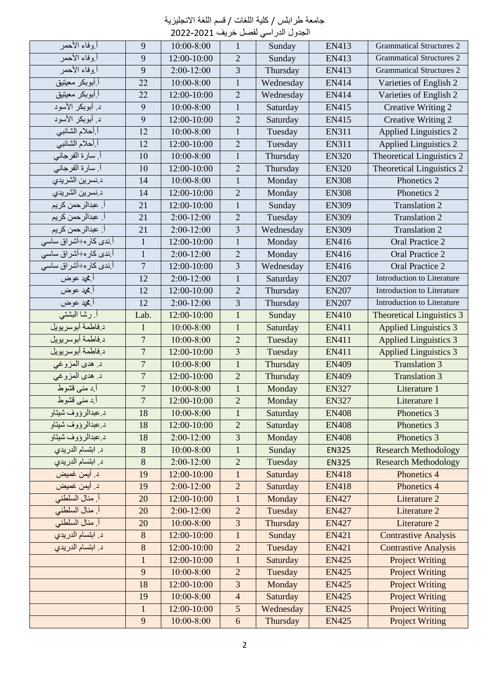| جامعة طرابلس / كلية اللغات / قسم اللغة الانجليزية |  |  |  |  |
|---------------------------------------------------|--|--|--|--|
|---------------------------------------------------|--|--|--|--|

| الجدول الدر اسي لفصل خريف 2021-2022 |  |  |  |  |
|-------------------------------------|--|--|--|--|
|-------------------------------------|--|--|--|--|

| أ.وفاء الأحمر                      | 9                | $10:00 - 8:00$ | $\mathbf{1}$            | Sunday    | EN413        | <b>Grammatical Structures 2</b>   |
|------------------------------------|------------------|----------------|-------------------------|-----------|--------------|-----------------------------------|
| أوفاء الأحمر                       | 9                | 12:00-10:00    | $\overline{2}$          | Sunday    | <b>EN413</b> | <b>Grammatical Structures 2</b>   |
| أروفاء الأحمر                      | 9                | $2:00-12:00$   | $\overline{3}$          | Thursday  | EN413        | <b>Grammatical Structures 2</b>   |
| أ أبوبكر معيتيق                    | $\overline{22}$  | $10:00 - 8:00$ | $\mathbf{1}$            | Wednesday | EN414        | Varieties of English 2            |
| أ أبوبكر معيتيق                    | 22               | 12:00-10:00    | $\overline{2}$          | Wednesday | EN414        | Varieties of English 2            |
| د. أبوبكر الأسود                   | 9                | $10:00 - 8:00$ | $\mathbf{1}$            | Saturday  | EN415        | Creative Writing 2                |
| د. أبوبكر الأسود                   | 9                | 12:00-10:00    | $\overline{2}$          | Saturday  | EN415        | Creative Writing 2                |
| أ أحلام الشائبي                    | $\overline{12}$  | 10:00-8:00     | $\mathbf{1}$            | Tuesday   | <b>EN311</b> | <b>Applied Linguistics 2</b>      |
| أ أحلام الشائبي                    | 12               | 12:00-10:00    | $\overline{2}$          | Tuesday   | EN311        | <b>Applied Linguistics 2</b>      |
| أ. سارة الفرجاني                   | 10               | $10:00 - 8:00$ | $\mathbf{1}$            | Thursday  | <b>EN320</b> | Theoretical Linguistics 2         |
| أ. سارة الفرجاني                   | 10               | 12:00-10:00    | $\overline{2}$          | Thursday  | <b>EN320</b> | Theoretical Linguistics 2         |
| د نسرين الشريدي                    | 14               | 10:00-8:00     | $\mathbf{1}$            | Monday    | <b>EN308</b> | Phonetics 2                       |
| د نسرين الشريدي                    | 14               | 12:00-10:00    | $\overline{2}$          | Monday    | <b>EN308</b> | Phonetics 2                       |
| أ. عبدالر حمن كريم                 | 21               | 12:00-10:00    | $\mathbf{1}$            | Sunday    | <b>EN309</b> | <b>Translation 2</b>              |
| أ. عبدالر حمن كريم                 | 21               | $2:00-12:00$   | $\overline{2}$          | Tuesday   | <b>EN309</b> | <b>Translation 2</b>              |
| أ. عبدالرحمن كريم                  | 21               | $2:00-12:00$   | $\overline{\mathbf{3}}$ | Wednesday | <b>EN309</b> | <b>Translation 2</b>              |
| أ ند <i>ى</i> كار ه+أشراق ساسى     | $\mathbf{1}$     | 12:00-10:00    | $\mathbf{1}$            | Monday    | EN416        | Oral Practice 2                   |
| أ ندى كار ه+أشر اق ساسى            | $\mathbf{1}$     | $2:00-12:00$   | $\overline{2}$          | Monday    | EN416        | Oral Practice 2                   |
| أ ندى كار ه+أشر اق ساسى            | $\tau$           | 12:00-10:00    | 3                       | Wednesday | EN416        | Oral Practice 2                   |
| أ.محد عوض                          | $\overline{12}$  | $2:00-12:00$   | $\mathbf{1}$            | Saturday  | <b>EN207</b> | Introduction to Literature        |
| أ.محد عوض                          | 12               | 12:00-10:00    | $\overline{2}$          | Thursday  | <b>EN207</b> | Introduction to Literature        |
| أ.محد عوض                          | $\overline{12}$  | $2:00-12:00$   | $\overline{3}$          | Thursday  | <b>EN207</b> | <b>Introduction to Literature</b> |
| أ رشا البشتى                       | Lab.             | 12:00-10:00    | $\mathbf{1}$            | Sunday    | <b>EN410</b> | <b>Theoretical Linguistics 3</b>  |
| د فاطمة أبوسريويل                  | $\mathbf{1}$     | 10:00-8:00     | $\overline{1}$          | Saturday  | <b>EN411</b> | <b>Applied Linguistics 3</b>      |
| دفاطمة أبوسريويل                   | $\boldsymbol{7}$ | $10:00 - 8:00$ | $\overline{2}$          | Tuesday   | EN411        | <b>Applied Linguistics 3</b>      |
| د فاطمة أبوسريويل                  | $\overline{7}$   | 12:00-10:00    | $\overline{\mathbf{3}}$ | Tuesday   | EN411        | <b>Applied Linguistics 3</b>      |
| د. هدي المزوغي                     | $\boldsymbol{7}$ | $10:00 - 8:00$ | $\mathbf{1}$            | Thursday  | <b>EN409</b> | <b>Translation 3</b>              |
| د. هدي المزوغي                     | $\overline{7}$   | 12:00-10:00    | $\overline{2}$          | Thursday  | <b>EN409</b> | <b>Translation 3</b>              |
| أ د منى قشوط                       | $\overline{7}$   | $10:00 - 8:00$ | $\mathbf{1}$            | Monday    | <b>EN327</b> | Literature 1                      |
| أ د مني قشوط                       | $\overline{7}$   | 12:00-10:00    | $\overline{2}$          | Monday    | <b>EN327</b> | Literature 1                      |
| <u>د عبدالرورو</u> ف شيناو         | 18               | $10:00 - 8:00$ | $\mathbf{1}$            | Saturday  | <b>EN408</b> | Phonetics 3                       |
| د عبدالرؤوف شيتاو                  | 18               | 12:00-10:00    | $\overline{2}$          | Saturday  | <b>EN408</b> | Phonetics 3                       |
| د عبدالرؤوف شيتاو                  | 18               | $2:00-12:00$   | $\mathfrak{Z}$          | Monday    | <b>EN408</b> | Phonetics 3                       |
| د. ابتسام الدريدي                  | 8                | $10:00 - 8:00$ | $\mathbf{1}$            | Sunday    | <b>EN325</b> | <b>Research Methodology</b>       |
| د. ابتسام الد <i>ر</i> يد <i>ي</i> | $\,8$            | $2:00-12:00$   | $\sqrt{2}$              | Tuesday   | <b>EN325</b> | <b>Research Methodology</b>       |
| د. أيمن غميض                       | 19               | 12:00-10:00    | $\mathbf{1}$            | Saturday  | <b>EN418</b> | Phonetics 4                       |
| د. أيمن غميض                       | 19               | $2:00-12:00$   | $\sqrt{2}$              | Saturday  | <b>EN418</b> | Phonetics 4                       |
| أ. منال السلطني                    | 20               | 12:00-10:00    | $\mathbf{1}$            | Monday    | <b>EN427</b> | Literature 2                      |
| أ. منال السلطني                    | 20               | $2:00-12:00$   | $\overline{2}$          | Tuesday   | <b>EN427</b> | Literature 2                      |
| أ. منال السلطني                    | 20               | $10:00 - 8:00$ | $\mathfrak{Z}$          | Thursday  | <b>EN427</b> | Literature 2                      |
| د. ابتسام الدريدي                  | $8\,$            | 12:00-10:00    | $\mathbf{1}$            | Sunday    | <b>EN421</b> | <b>Contrastive Analysis</b>       |
| د. ابتسام الدريدي                  | $8\,$            | 12:00-10:00    | $\overline{2}$          | Tuesday   | <b>EN421</b> | <b>Contrastive Analysis</b>       |
|                                    | $\,1$            | 12:00-10:00    | $\mathbf{1}$            | Saturday  | <b>EN425</b> | <b>Project Writing</b>            |
|                                    | 9                | $10:00 - 8:00$ | $\overline{2}$          | Tuesday   | <b>EN425</b> | <b>Project Writing</b>            |
|                                    | 18               | 12:00-10:00    | $\sqrt{3}$              | Monday    | <b>EN425</b> | <b>Project Writing</b>            |
|                                    | 19               | $10:00 - 8:00$ | $\overline{4}$          | Saturday  | <b>EN425</b> | <b>Project Writing</b>            |
|                                    | $\mathbf{1}$     | 12:00-10:00    | $\sqrt{5}$              | Wednesday | <b>EN425</b> | <b>Project Writing</b>            |
|                                    | 9                | 10:00-8:00     | $6\,$                   | Thursday  | <b>EN425</b> | <b>Project Writing</b>            |
|                                    |                  |                |                         |           |              |                                   |